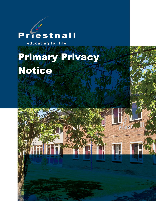# Priestnall

educating for life

# Primary Privacy Notice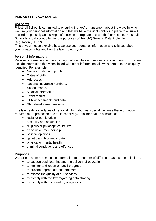# **PRIMARY PRIVACY NOTICE**

# **Overview**

Priestnall School is committed to ensuring that we're transparent about the ways in which we use your personal information and that we have the right controls in place to ensure it is used responsibly and is kept safe from inappropriate access, theft or misuse. Priestnall School is a 'data controller' for the purposes of the (UK) General Data Protection Regulation (GDPR).

This privacy notice explains how we use your personal information and tells you about your privacy rights and how the law protects you.

## **Personal Information;**

Personal information can be anything that identifies and relates to a living person. This can include information that when linked with other information, allows a person to be uniquely identified. For example;

- Names of staff and pupils.
- Dates of birth.
- Addresses.
- National insurance numbers.
- School marks.
- Medical information.
- Exam results.
- SEN assessments and data.
- Staff development reviews.

The law treats some types of personal information as 'special' because the information requires more protection due to its sensitivity. This information consists of:

- racial or ethnic origin
- sexuality and sexual life
- religious or philosophical beliefs
- trade union membership
- political opinions
- genetic and bio-metric data
- physical or mental health
- criminal convictions and offences

#### **Purposes**

We collect, store and maintain information for a number of different reasons, these include;

- to support pupil learning and the delivery of education
- to monitor and report on pupil progress
- to provide appropriate pastoral care
- to assess the quality of our services
- to comply with the law regarding data sharing
- to comply with our statutory obligations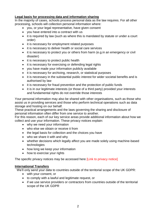# **Legal basis for processing data and information sharing**

In the majority of cases, schools process personal data as the law requires. For all other processing, schools will collection personal information where:

- you, or your legal representative, have given consent
- you have entered into a contract with us
- it is required by law (such as where this is mandated by statute or under a court order)
- it is necessary for employment related purposes
- it is necessary to deliver health or social care services
- it is necessary to protect you or others from harm (e.g.in an emergency or civil disaster)
- it is necessary to protect public health
- it is necessary for exercising or defending legal rights
- you have made your information publicly available
- it is necessary for archiving, research, or statistical purposes
- it is necessary in the substantial public interest for wider societal benefits and is authorised by law
- it is necessary for fraud prevention and the protection of public funds
- it is in our legitimate interests (or those of a third party) provided your interests and fundamental rights do not override those interests

Your personal information may also be shared with other organisations, such as those who assist us in providing services and those who perform technical operations such as data storage and hosting on our behalf.

These practical arrangements and the laws governing the sharing and disclosure of personal information often differ from one service to another.

For this reason, each of our key service areas provide additional information about how we collect and use your information. These privacy notices explain:

- why we need your information
- who else we obtain or receive it from
- the legal basis for collection and the choices you have
- who we share it with and why
- whether decisions which legally affect you are made solely using machine-based technologies
- how long we keep your information
- how to exercise your rights

The specific privacy notices may be accessed here **[Link to privacy notice]** 

## **International Transfers**

We'll only send your data to countries outside of the territorial scope of the UK GDPR:

- with your consent, or
- to comply with a lawful and legitimate request, or
- if we use service providers or contractors from countries outside of the territorial scope of the UK GDPR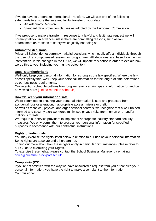If we do have to undertake International Transfers, we will use one of the following safeguards to ensure the safe and lawful transfer of your data:

- An Adequacy Decision
- Standard data protection clauses as adopted by the European Commission.

If we propose to make a transfer in response to a lawful and legitimate request we will normally tell you in advance unless there are compelling reasons, such as law enforcement or, reasons of safety which justify not doing so.

#### **Automated decisions**

Priestnall School do not currently make[s] decisions which legally affect individuals through the use of a computerised system or programme. All decisions are based on human intervention. If this changes in the future, we will update this notice in order to explain how we do this to you, including your right to object to it.

#### **Data Retention/criteria**

We'll only keep your personal information for as long as the law specifies. Where the law doesn't specify this, we'll keep your personal information for the length of time determined by our business requirements.

Our retention schedule outlines how long we retain certain types of information for and can be viewed here; [Link to retention schedule]

#### **How we keep your information safe**

We're committed to ensuring your personal information is safe and protected from accidental loss or alteration, inappropriate access, misuse or theft.

As well as technical, physical and organisational controls, we recognise that a well-trained, informed and security alert workforce minimises privacy risks from human error and/or malicious threats.

We require our service providers to implement appropriate industry standard security measures. We only permit them to process your personal information for specified purposes in accordance with our contractual instructions.

## **Rights of individuals**

You may exercise the rights listed below in relation to our use of your personal information. Some rights are absolute and others are not.

To find out more about how these rights apply in particular circumstances, please refer to our Guide to exercising your Rights.

To exercise these rights, please contact the School Business Manager by emailing [office@priestnall.stockport.sch.uk](mailto:office@priestnall.stockport.sch.uk)

## **Complaints (ICO)**

If you're not satisfied with the way we have answered a request from you or handled your personal information, you have the right to make a complaint to the Information Commissioner.